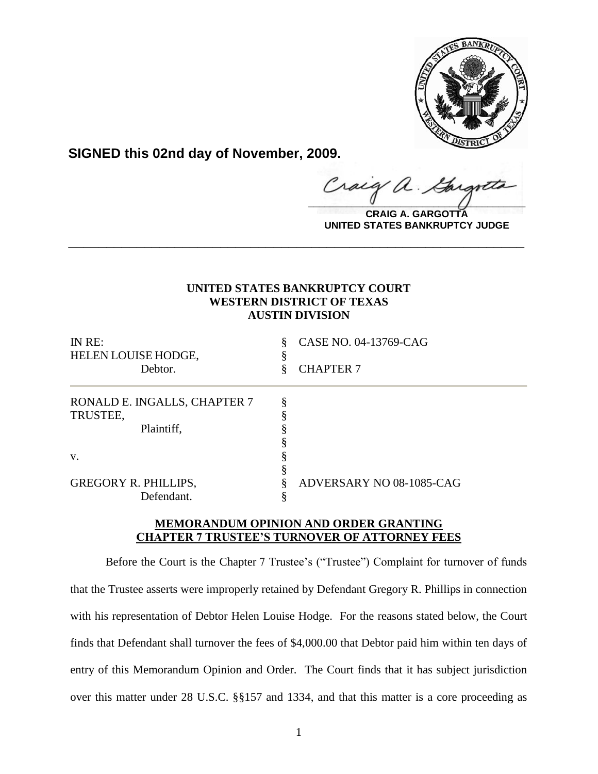

**SIGNED this 02nd day of November, 2009.**

Craig  $\frac{1}{2}$ 

**CRAIG A. GARGOTTA UNITED STATES BANKRUPTCY JUDGE**

# **UNITED STATES BANKRUPTCY COURT WESTERN DISTRICT OF TEXAS AUSTIN DIVISION**

**\_\_\_\_\_\_\_\_\_\_\_\_\_\_\_\_\_\_\_\_\_\_\_\_\_\_\_\_\_\_\_\_\_\_\_\_\_\_\_\_\_\_\_\_\_\_\_\_\_\_\_\_\_\_\_\_\_\_\_\_**

| IN RE:                       | ş | CASE NO. 04-13769-CAG    |
|------------------------------|---|--------------------------|
| HELEN LOUISE HODGE,          |   |                          |
| Debtor.                      |   | <b>CHAPTER 7</b>         |
| RONALD E. INGALLS, CHAPTER 7 |   |                          |
| TRUSTEE,                     |   |                          |
| Plaintiff,                   |   |                          |
|                              |   |                          |
| V.                           |   |                          |
|                              |   |                          |
| <b>GREGORY R. PHILLIPS,</b>  |   | ADVERSARY NO 08-1085-CAG |
| Defendant.                   |   |                          |

## **MEMORANDUM OPINION AND ORDER GRANTING CHAPTER 7 TRUSTEE'S TURNOVER OF ATTORNEY FEES**

Before the Court is the Chapter 7 Trustee's ("Trustee") Complaint for turnover of funds that the Trustee asserts were improperly retained by Defendant Gregory R. Phillips in connection with his representation of Debtor Helen Louise Hodge. For the reasons stated below, the Court finds that Defendant shall turnover the fees of \$4,000.00 that Debtor paid him within ten days of entry of this Memorandum Opinion and Order. The Court finds that it has subject jurisdiction over this matter under 28 U.S.C. §§157 and 1334, and that this matter is a core proceeding as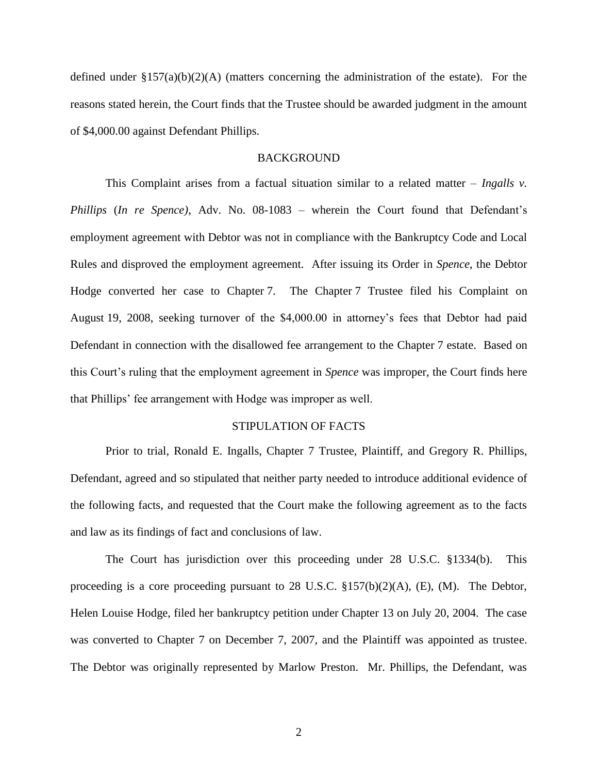defined under  $\S 157(a)(b)(2)(A)$  (matters concerning the administration of the estate). For the reasons stated herein, the Court finds that the Trustee should be awarded judgment in the amount of \$4,000.00 against Defendant Phillips.

#### **BACKGROUND**

This Complaint arises from a factual situation similar to a related matter – *Ingalls v. Phillips* (*In re Spence*), Adv. No. 08-1083 – wherein the Court found that Defendant's employment agreement with Debtor was not in compliance with the Bankruptcy Code and Local Rules and disproved the employment agreement. After issuing its Order in *Spence*, the Debtor Hodge converted her case to Chapter 7. The Chapter 7 Trustee filed his Complaint on August 19, 2008, seeking turnover of the \$4,000.00 in attorney"s fees that Debtor had paid Defendant in connection with the disallowed fee arrangement to the Chapter 7 estate. Based on this Court"s ruling that the employment agreement in *Spence* was improper, the Court finds here that Phillips" fee arrangement with Hodge was improper as well.

## STIPULATION OF FACTS

Prior to trial, Ronald E. Ingalls, Chapter 7 Trustee, Plaintiff, and Gregory R. Phillips, Defendant, agreed and so stipulated that neither party needed to introduce additional evidence of the following facts, and requested that the Court make the following agreement as to the facts and law as its findings of fact and conclusions of law.

The Court has jurisdiction over this proceeding under 28 U.S.C. §1334(b). This proceeding is a core proceeding pursuant to 28 U.S.C. §157(b)(2)(A), (E), (M). The Debtor, Helen Louise Hodge, filed her bankruptcy petition under Chapter 13 on July 20, 2004. The case was converted to Chapter 7 on December 7, 2007, and the Plaintiff was appointed as trustee. The Debtor was originally represented by Marlow Preston. Mr. Phillips, the Defendant, was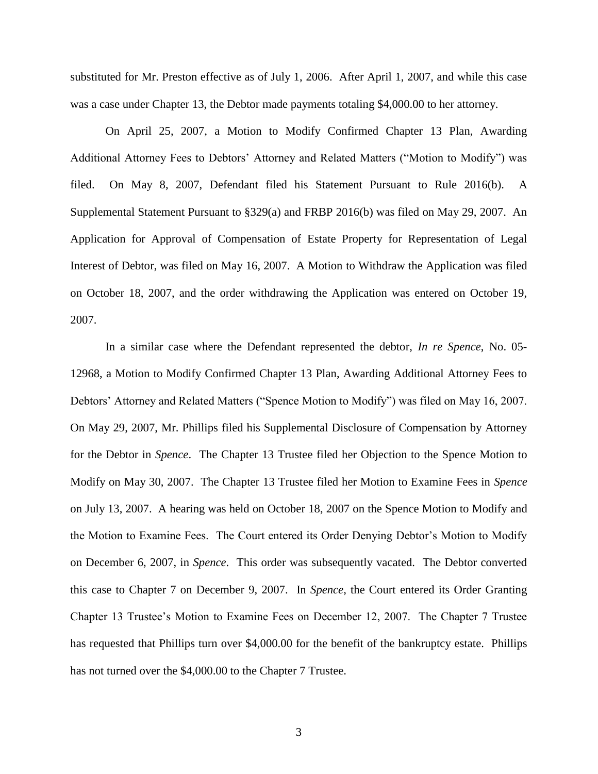substituted for Mr. Preston effective as of July 1, 2006. After April 1, 2007, and while this case was a case under Chapter 13, the Debtor made payments totaling \$4,000.00 to her attorney.

On April 25, 2007, a Motion to Modify Confirmed Chapter 13 Plan, Awarding Additional Attorney Fees to Debtors" Attorney and Related Matters ("Motion to Modify") was filed. On May 8, 2007, Defendant filed his Statement Pursuant to Rule 2016(b). A Supplemental Statement Pursuant to §329(a) and FRBP 2016(b) was filed on May 29, 2007. An Application for Approval of Compensation of Estate Property for Representation of Legal Interest of Debtor, was filed on May 16, 2007. A Motion to Withdraw the Application was filed on October 18, 2007, and the order withdrawing the Application was entered on October 19, 2007.

In a similar case where the Defendant represented the debtor, *In re Spence*, No. 05- 12968, a Motion to Modify Confirmed Chapter 13 Plan, Awarding Additional Attorney Fees to Debtors" Attorney and Related Matters ("Spence Motion to Modify") was filed on May 16, 2007. On May 29, 2007, Mr. Phillips filed his Supplemental Disclosure of Compensation by Attorney for the Debtor in *Spence*. The Chapter 13 Trustee filed her Objection to the Spence Motion to Modify on May 30, 2007. The Chapter 13 Trustee filed her Motion to Examine Fees in *Spence* on July 13, 2007. A hearing was held on October 18, 2007 on the Spence Motion to Modify and the Motion to Examine Fees. The Court entered its Order Denying Debtor"s Motion to Modify on December 6, 2007, in *Spence*. This order was subsequently vacated. The Debtor converted this case to Chapter 7 on December 9, 2007. In *Spence*, the Court entered its Order Granting Chapter 13 Trustee"s Motion to Examine Fees on December 12, 2007. The Chapter 7 Trustee has requested that Phillips turn over \$4,000.00 for the benefit of the bankruptcy estate. Phillips has not turned over the \$4,000.00 to the Chapter 7 Trustee.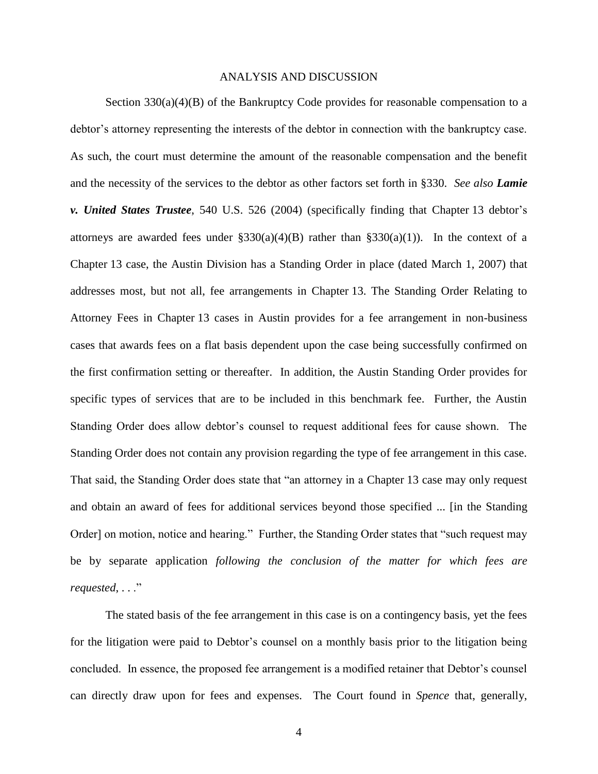#### ANALYSIS AND DISCUSSION

Section  $330(a)(4)(B)$  of the Bankruptcy Code provides for reasonable compensation to a debtor"s attorney representing the interests of the debtor in connection with the bankruptcy case. As such, the court must determine the amount of the reasonable compensation and the benefit and the necessity of the services to the debtor as other factors set forth in §330. *See also Lamie v. United States Trustee*, 540 U.S. 526 (2004) (specifically finding that Chapter 13 debtor's attorneys are awarded fees under  $\S 330(a)(4)(B)$  rather than  $\S 330(a)(1)$ ). In the context of a Chapter 13 case, the Austin Division has a Standing Order in place (dated March 1, 2007) that addresses most, but not all, fee arrangements in Chapter 13. The Standing Order Relating to Attorney Fees in Chapter 13 cases in Austin provides for a fee arrangement in non-business cases that awards fees on a flat basis dependent upon the case being successfully confirmed on the first confirmation setting or thereafter. In addition, the Austin Standing Order provides for specific types of services that are to be included in this benchmark fee. Further, the Austin Standing Order does allow debtor's counsel to request additional fees for cause shown. The Standing Order does not contain any provision regarding the type of fee arrangement in this case. That said, the Standing Order does state that "an attorney in a Chapter 13 case may only request and obtain an award of fees for additional services beyond those specified ... [in the Standing Order] on motion, notice and hearing." Further, the Standing Order states that "such request may be by separate application *following the conclusion of the matter for which fees are requested*, . . ."

The stated basis of the fee arrangement in this case is on a contingency basis, yet the fees for the litigation were paid to Debtor's counsel on a monthly basis prior to the litigation being concluded. In essence, the proposed fee arrangement is a modified retainer that Debtor"s counsel can directly draw upon for fees and expenses. The Court found in *Spence* that, generally,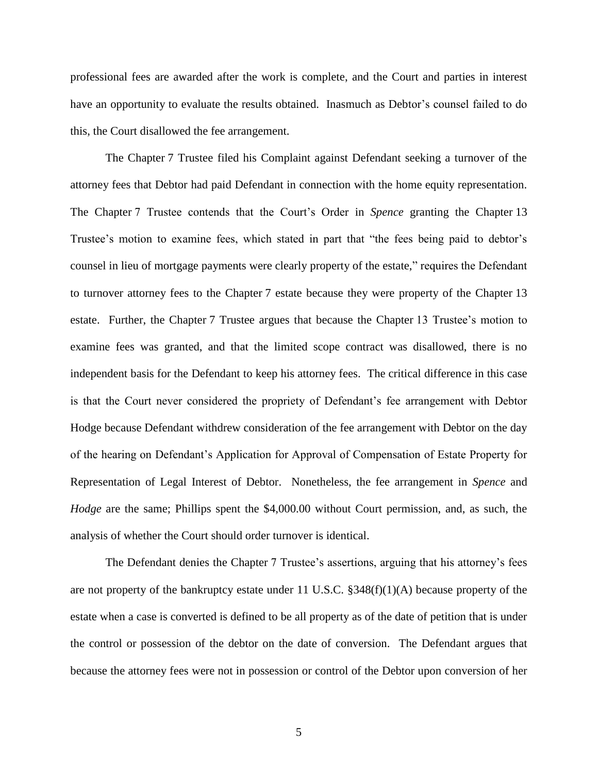professional fees are awarded after the work is complete, and the Court and parties in interest have an opportunity to evaluate the results obtained. Inasmuch as Debtor's counsel failed to do this, the Court disallowed the fee arrangement.

The Chapter 7 Trustee filed his Complaint against Defendant seeking a turnover of the attorney fees that Debtor had paid Defendant in connection with the home equity representation. The Chapter 7 Trustee contends that the Court's Order in *Spence* granting the Chapter 13 Trustee's motion to examine fees, which stated in part that "the fees being paid to debtor's counsel in lieu of mortgage payments were clearly property of the estate," requires the Defendant to turnover attorney fees to the Chapter 7 estate because they were property of the Chapter 13 estate. Further, the Chapter 7 Trustee argues that because the Chapter 13 Trustee"s motion to examine fees was granted, and that the limited scope contract was disallowed, there is no independent basis for the Defendant to keep his attorney fees. The critical difference in this case is that the Court never considered the propriety of Defendant's fee arrangement with Debtor Hodge because Defendant withdrew consideration of the fee arrangement with Debtor on the day of the hearing on Defendant"s Application for Approval of Compensation of Estate Property for Representation of Legal Interest of Debtor. Nonetheless, the fee arrangement in *Spence* and *Hodge* are the same; Phillips spent the \$4,000.00 without Court permission, and, as such, the analysis of whether the Court should order turnover is identical.

The Defendant denies the Chapter 7 Trustee's assertions, arguing that his attorney's fees are not property of the bankruptcy estate under 11 U.S.C. §348(f)(1)(A) because property of the estate when a case is converted is defined to be all property as of the date of petition that is under the control or possession of the debtor on the date of conversion. The Defendant argues that because the attorney fees were not in possession or control of the Debtor upon conversion of her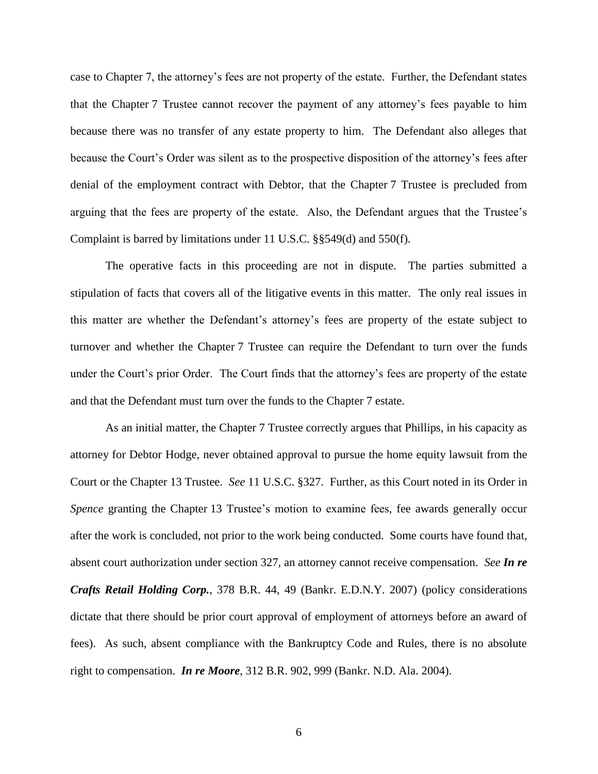case to Chapter 7, the attorney"s fees are not property of the estate. Further, the Defendant states that the Chapter 7 Trustee cannot recover the payment of any attorney"s fees payable to him because there was no transfer of any estate property to him. The Defendant also alleges that because the Court"s Order was silent as to the prospective disposition of the attorney"s fees after denial of the employment contract with Debtor, that the Chapter 7 Trustee is precluded from arguing that the fees are property of the estate. Also, the Defendant argues that the Trustee"s Complaint is barred by limitations under 11 U.S.C. §§549(d) and 550(f).

The operative facts in this proceeding are not in dispute. The parties submitted a stipulation of facts that covers all of the litigative events in this matter. The only real issues in this matter are whether the Defendant"s attorney"s fees are property of the estate subject to turnover and whether the Chapter 7 Trustee can require the Defendant to turn over the funds under the Court's prior Order. The Court finds that the attorney's fees are property of the estate and that the Defendant must turn over the funds to the Chapter 7 estate.

As an initial matter, the Chapter 7 Trustee correctly argues that Phillips, in his capacity as attorney for Debtor Hodge, never obtained approval to pursue the home equity lawsuit from the Court or the Chapter 13 Trustee. *See* 11 U.S.C. §327. Further, as this Court noted in its Order in *Spence* granting the Chapter 13 Trustee's motion to examine fees, fee awards generally occur after the work is concluded, not prior to the work being conducted. Some courts have found that, absent court authorization under section 327, an attorney cannot receive compensation. *See In re Crafts Retail Holding Corp.*, 378 B.R. 44, 49 (Bankr. E.D.N.Y. 2007) (policy considerations dictate that there should be prior court approval of employment of attorneys before an award of fees). As such, absent compliance with the Bankruptcy Code and Rules, there is no absolute right to compensation. *In re Moore*, 312 B.R. 902, 999 (Bankr. N.D. Ala. 2004).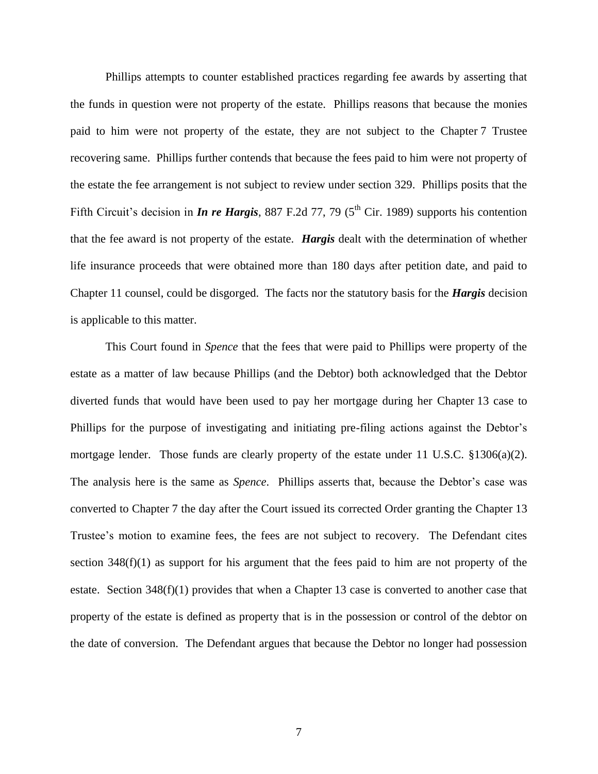Phillips attempts to counter established practices regarding fee awards by asserting that the funds in question were not property of the estate. Phillips reasons that because the monies paid to him were not property of the estate, they are not subject to the Chapter 7 Trustee recovering same. Phillips further contends that because the fees paid to him were not property of the estate the fee arrangement is not subject to review under section 329. Phillips posits that the Fifth Circuit's decision in *In re Hargis*, 887 F.2d 77, 79 (5<sup>th</sup> Cir. 1989) supports his contention that the fee award is not property of the estate. *Hargis* dealt with the determination of whether life insurance proceeds that were obtained more than 180 days after petition date, and paid to Chapter 11 counsel, could be disgorged. The facts nor the statutory basis for the *Hargis* decision is applicable to this matter.

This Court found in *Spence* that the fees that were paid to Phillips were property of the estate as a matter of law because Phillips (and the Debtor) both acknowledged that the Debtor diverted funds that would have been used to pay her mortgage during her Chapter 13 case to Phillips for the purpose of investigating and initiating pre-filing actions against the Debtor"s mortgage lender. Those funds are clearly property of the estate under 11 U.S.C.  $\S 1306(a)(2)$ . The analysis here is the same as *Spence*. Phillips asserts that, because the Debtor's case was converted to Chapter 7 the day after the Court issued its corrected Order granting the Chapter 13 Trustee"s motion to examine fees, the fees are not subject to recovery. The Defendant cites section  $348(f)(1)$  as support for his argument that the fees paid to him are not property of the estate. Section 348(f)(1) provides that when a Chapter 13 case is converted to another case that property of the estate is defined as property that is in the possession or control of the debtor on the date of conversion. The Defendant argues that because the Debtor no longer had possession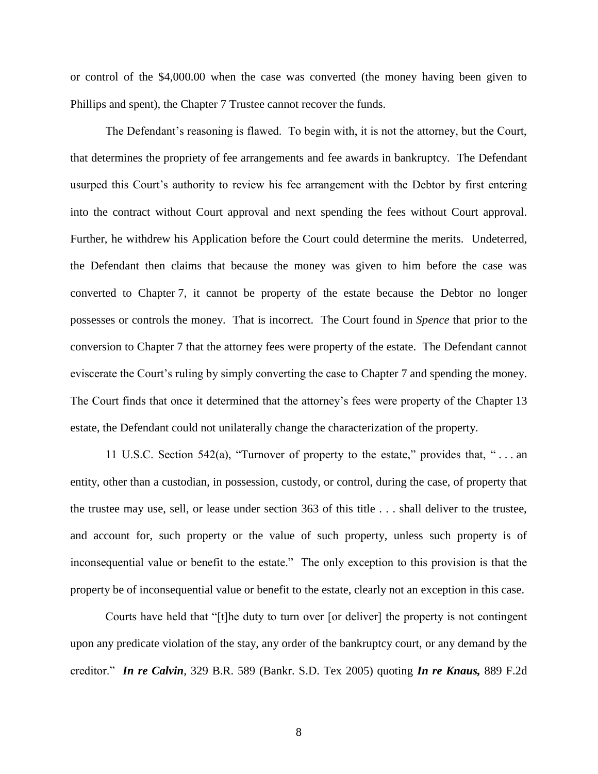or control of the \$4,000.00 when the case was converted (the money having been given to Phillips and spent), the Chapter 7 Trustee cannot recover the funds.

The Defendant"s reasoning is flawed. To begin with, it is not the attorney, but the Court, that determines the propriety of fee arrangements and fee awards in bankruptcy. The Defendant usurped this Court"s authority to review his fee arrangement with the Debtor by first entering into the contract without Court approval and next spending the fees without Court approval. Further, he withdrew his Application before the Court could determine the merits. Undeterred, the Defendant then claims that because the money was given to him before the case was converted to Chapter 7, it cannot be property of the estate because the Debtor no longer possesses or controls the money. That is incorrect. The Court found in *Spence* that prior to the conversion to Chapter 7 that the attorney fees were property of the estate. The Defendant cannot eviscerate the Court's ruling by simply converting the case to Chapter 7 and spending the money. The Court finds that once it determined that the attorney"s fees were property of the Chapter 13 estate, the Defendant could not unilaterally change the characterization of the property.

11 U.S.C. Section 542(a), "Turnover of property to the estate," provides that, " . . . an entity, other than a custodian, in possession, custody, or control, during the case, of property that the trustee may use, sell, or lease under section 363 of this title . . . shall deliver to the trustee, and account for, such property or the value of such property, unless such property is of inconsequential value or benefit to the estate." The only exception to this provision is that the property be of inconsequential value or benefit to the estate, clearly not an exception in this case.

Courts have held that "[t]he duty to turn over [or deliver] the property is not contingent upon any predicate violation of the stay, any order of the bankruptcy court, or any demand by the creditor." *In re Calvin*, 329 B.R. 589 (Bankr. S.D. Tex 2005) quoting *In re Knaus,* 889 F.2d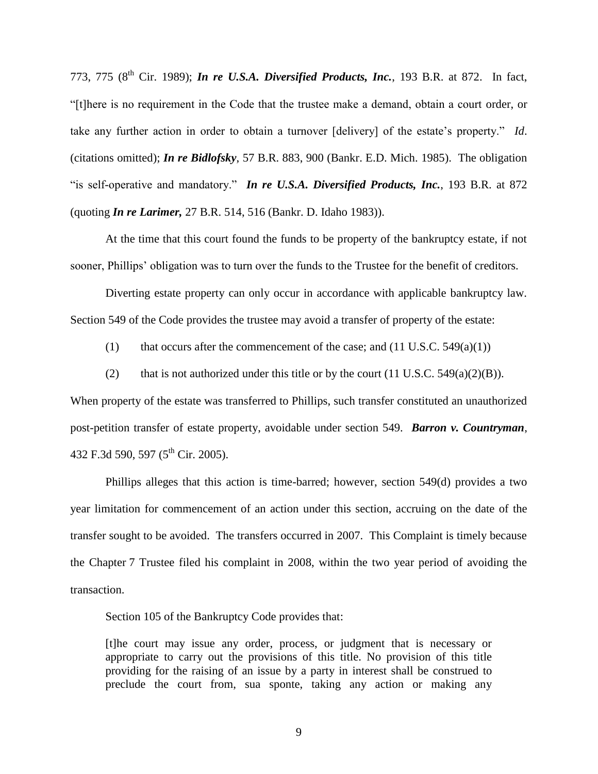773, 775 (8<sup>th</sup> Cir. 1989); *In re U.S.A. Diversified Products, Inc.*, 193 B.R. at 872. In fact, "[t]here is no requirement in the Code that the trustee make a demand, obtain a court order, or take any further action in order to obtain a turnover [delivery] of the estate's property." *Id*. (citations omitted); *In re Bidlofsky*, 57 B.R. 883, 900 (Bankr. E.D. Mich. 1985). The obligation "is self-operative and mandatory." *In re U.S.A. Diversified Products, Inc.*, 193 B.R. at 872 (quoting *In re Larimer,* 27 B.R. 514, 516 (Bankr. D. Idaho 1983)).

At the time that this court found the funds to be property of the bankruptcy estate, if not sooner, Phillips' obligation was to turn over the funds to the Trustee for the benefit of creditors.

Diverting estate property can only occur in accordance with applicable bankruptcy law. Section 549 of the Code provides the trustee may avoid a transfer of property of the estate:

(1) that occurs after the commencement of the case; and  $(11 \text{ U.S.C. } 549(a)(1))$ 

(2) that is not authorized under this title or by the court  $(11 \text{ U.S.C. } 549(a)(2)(B))$ .

When property of the estate was transferred to Phillips, such transfer constituted an unauthorized post-petition transfer of estate property, avoidable under section 549. *Barron v. Countryman*, 432 F.3d 590, 597 (5<sup>th</sup> Cir. 2005).

Phillips alleges that this action is time-barred; however, section 549(d) provides a two year limitation for commencement of an action under this section, accruing on the date of the transfer sought to be avoided. The transfers occurred in 2007. This Complaint is timely because the Chapter 7 Trustee filed his complaint in 2008, within the two year period of avoiding the transaction.

Section 105 of the Bankruptcy Code provides that:

[t]he court may issue any order, process, or judgment that is necessary or appropriate to carry out the provisions of this title. No provision of this title providing for the raising of an issue by a party in interest shall be construed to preclude the court from, sua sponte, taking any action or making any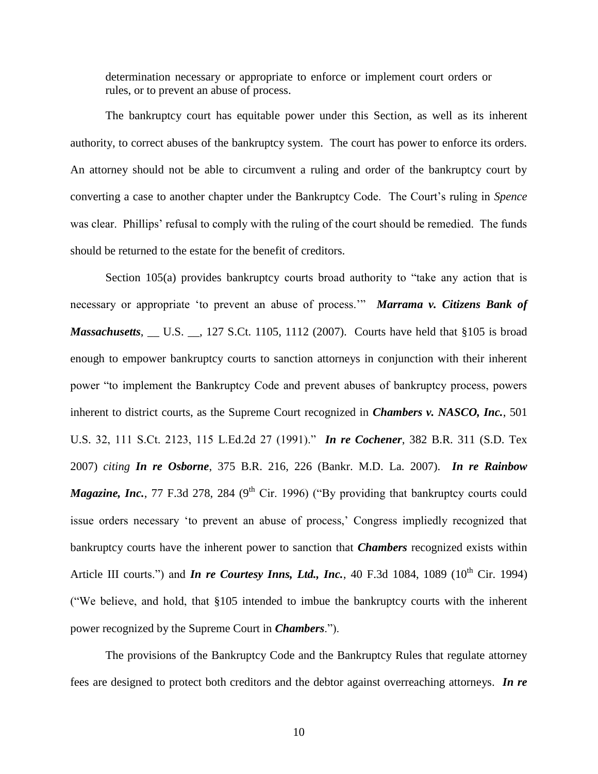determination necessary or appropriate to enforce or implement court orders or rules, or to prevent an abuse of process.

The bankruptcy court has equitable power under this Section, as well as its inherent authority, to correct abuses of the bankruptcy system. The court has power to enforce its orders. An attorney should not be able to circumvent a ruling and order of the bankruptcy court by converting a case to another chapter under the Bankruptcy Code. The Court"s ruling in *Spence* was clear. Phillips' refusal to comply with the ruling of the court should be remedied. The funds should be returned to the estate for the benefit of creditors.

Section 105(a) provides bankruptcy courts broad authority to "take any action that is necessary or appropriate "to prevent an abuse of process."" *Marrama v. Citizens Bank of Massachusetts*, \_\_ U.S. \_\_, 127 S.Ct. 1105, 1112 (2007). Courts have held that §105 is broad enough to empower bankruptcy courts to sanction attorneys in conjunction with their inherent power "to implement the Bankruptcy Code and prevent abuses of bankruptcy process, powers inherent to district courts, as the Supreme Court recognized in *Chambers v. NASCO, Inc.*, 501 U.S. 32, 111 S.Ct. 2123, 115 L.Ed.2d 27 (1991)." *In re Cochener*, 382 B.R. 311 (S.D. Tex 2007) *citing In re Osborne*, 375 B.R. 216, 226 (Bankr. M.D. La. 2007). *In re Rainbow Magazine, Inc.*, 77 F.3d 278, 284 (9<sup>th</sup> Cir. 1996) ("By providing that bankruptcy courts could issue orders necessary 'to prevent an abuse of process,' Congress impliedly recognized that bankruptcy courts have the inherent power to sanction that *Chambers* recognized exists within Article III courts.") and *In re Courtesy Inns, Ltd., Inc.*, 40 F.3d 1084, 1089 ( $10^{th}$  Cir. 1994) ("We believe, and hold, that §105 intended to imbue the bankruptcy courts with the inherent power recognized by the Supreme Court in *Chambers*.").

The provisions of the Bankruptcy Code and the Bankruptcy Rules that regulate attorney fees are designed to protect both creditors and the debtor against overreaching attorneys. *In re*